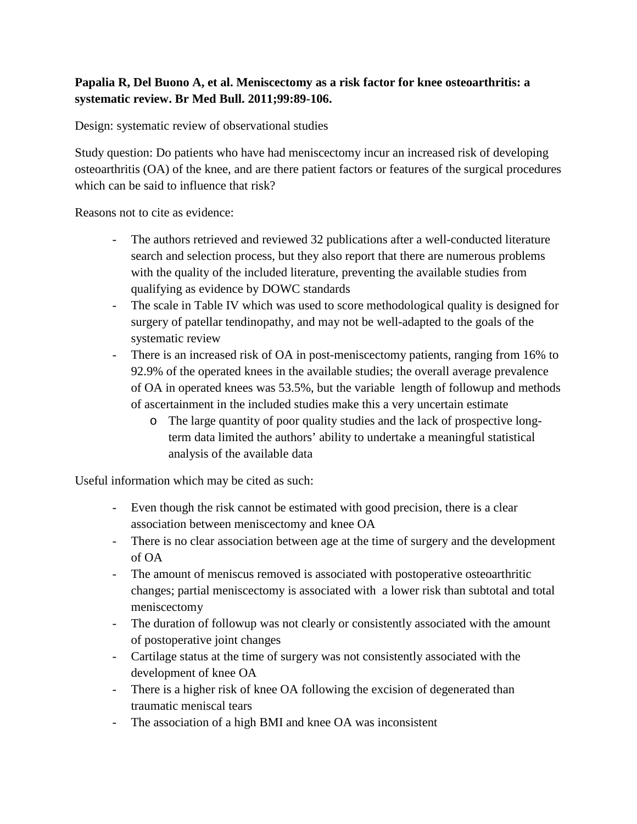## **Papalia R, Del Buono A, et al. Meniscectomy as a risk factor for knee osteoarthritis: a systematic review. Br Med Bull. 2011;99:89-106.**

Design: systematic review of observational studies

Study question: Do patients who have had meniscectomy incur an increased risk of developing osteoarthritis (OA) of the knee, and are there patient factors or features of the surgical procedures which can be said to influence that risk?

Reasons not to cite as evidence:

- The authors retrieved and reviewed 32 publications after a well-conducted literature search and selection process, but they also report that there are numerous problems with the quality of the included literature, preventing the available studies from qualifying as evidence by DOWC standards
- The scale in Table IV which was used to score methodological quality is designed for surgery of patellar tendinopathy, and may not be well-adapted to the goals of the systematic review
- There is an increased risk of OA in post-meniscectomy patients, ranging from 16% to 92.9% of the operated knees in the available studies; the overall average prevalence of OA in operated knees was 53.5%, but the variable length of followup and methods of ascertainment in the included studies make this a very uncertain estimate
	- o The large quantity of poor quality studies and the lack of prospective longterm data limited the authors' ability to undertake a meaningful statistical analysis of the available data

Useful information which may be cited as such:

- Even though the risk cannot be estimated with good precision, there is a clear association between meniscectomy and knee OA
- There is no clear association between age at the time of surgery and the development of OA
- The amount of meniscus removed is associated with postoperative osteoarthritic changes; partial meniscectomy is associated with a lower risk than subtotal and total meniscectomy
- The duration of followup was not clearly or consistently associated with the amount of postoperative joint changes
- Cartilage status at the time of surgery was not consistently associated with the development of knee OA
- There is a higher risk of knee OA following the excision of degenerated than traumatic meniscal tears
- The association of a high BMI and knee OA was inconsistent